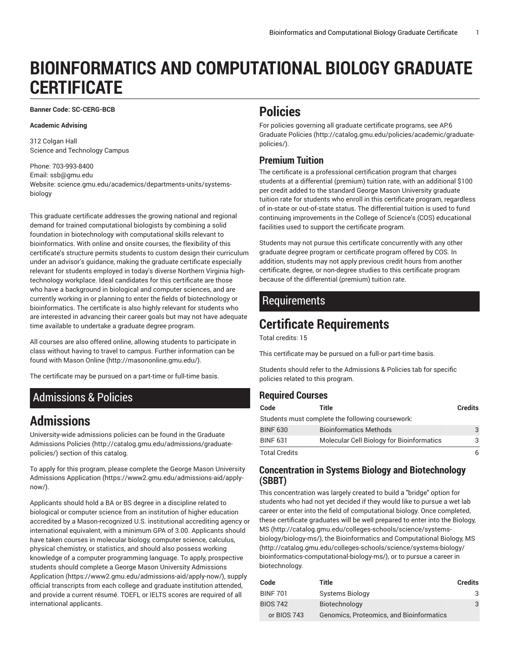# **BIOINFORMATICS AND COMPUTATIONAL BIOLOGY GRADUATE CERTIFICATE**

**Banner Code: SC-CERG-BCB**

#### **Academic Advising**

312 Colgan Hall Science and Technology Campus

Phone: 703-993-8400 Email: [ssb@gmu.edu](mailto:ssb@gmu.edu) Website: science.gmu.edu/academics/departments-units/systemsbiology

This graduate certificate addresses the growing national and regional demand for trained computational biologists by combining a solid foundation in biotechnology with computational skills relevant to bioinformatics. With online and onsite courses, the flexibility of this certificate's structure permits students to custom design their curriculum under an advisor's guidance, making the graduate certificate especially relevant for students employed in today's diverse Northern Virginia hightechnology workplace. Ideal candidates for this certificate are those who have a background in biological and computer sciences, and are currently working in or planning to enter the fields of biotechnology or bioinformatics. The certificate is also highly relevant for students who are interested in advancing their career goals but may not have adequate time available to undertake a graduate degree program.

All courses are also offered online, allowing students to participate in class without having to travel to campus. Further information can be found with [Mason Online \(http://masononline.gmu.edu/](http://masononline.gmu.edu/)).

The certificate may be pursued on a part-time or full-time basis.

## <span id="page-0-0"></span>Admissions & Policies

# **Admissions**

University-wide admissions policies can be found in the [Graduate](http://catalog.gmu.edu/admissions/graduate-policies/) [Admissions](http://catalog.gmu.edu/admissions/graduate-policies/) Policies [\(http://catalog.gmu.edu/admissions/graduate](http://catalog.gmu.edu/admissions/graduate-policies/)[policies/](http://catalog.gmu.edu/admissions/graduate-policies/)) section of this catalog.

To apply for this program, please complete the George Mason [University](https://www2.gmu.edu/admissions-aid/apply-now/) [Admissions Application](https://www2.gmu.edu/admissions-aid/apply-now/) ([https://www2.gmu.edu/admissions-aid/apply](https://www2.gmu.edu/admissions-aid/apply-now/)[now/](https://www2.gmu.edu/admissions-aid/apply-now/)).

Applicants should hold a BA or BS degree in a discipline related to biological or computer science from an institution of higher education accredited by a Mason-recognized U.S. institutional accrediting agency or international equivalent, with a minimum GPA of 3.00. Applicants should have taken courses in molecular biology, computer science, calculus, physical chemistry, or statistics, and should also possess working knowledge of a computer programming language. To apply, prospective students should complete a George Mason University [Admissions](https://www2.gmu.edu/admissions-aid/apply-now/) [Application \(https://www2.gmu.edu/admissions-aid/apply-now/\)](https://www2.gmu.edu/admissions-aid/apply-now/), supply official transcripts from each college and graduate institution attended, and provide a current résumé. TOEFL or IELTS scores are required of all international applicants.

## **Policies**

For policies governing all graduate certificate programs, see [AP.6](http://catalog.gmu.edu/policies/academic/graduate-policies/) [Graduate](http://catalog.gmu.edu/policies/academic/graduate-policies/) Policies [\(http://catalog.gmu.edu/policies/academic/graduate](http://catalog.gmu.edu/policies/academic/graduate-policies/)[policies/](http://catalog.gmu.edu/policies/academic/graduate-policies/)).

#### **Premium Tuition**

The certificate is a professional certification program that charges students at a differential (premium) tuition rate, with an additional \$100 per credit added to the standard George Mason University graduate tuition rate for students who enroll in this certificate program, regardless of in-state or out-of-state status. The differential tuition is used to fund continuing improvements in the College of Science's (COS) educational facilities used to support the certificate program.

Students may not pursue this certificate concurrently with any other graduate degree program or certificate program offered by COS. In addition, students may not apply previous credit hours from another certificate, degree, or non-degree studies to this certificate program because of the differential (premium) tuition rate.

### Requirements

# **Certificate Requirements**

Total credits: 15

This certificate may be pursued on a full-or part-time basis.

Students should refer to the [Admissions](#page-0-0) & Policies tab for specific policies related to this program.

#### **Required Courses**

| Code                 | Title                                            | <b>Credits</b> |
|----------------------|--------------------------------------------------|----------------|
|                      | Students must complete the following coursework: |                |
| <b>BINF 630</b>      | <b>Bioinformatics Methods</b>                    | 3              |
| <b>BINF 631</b>      | <b>Molecular Cell Biology for Bioinformatics</b> | 3              |
| <b>Total Credits</b> |                                                  | 6              |

#### **Concentration in Systems Biology and Biotechnology (SBBT)**

This concentration was largely created to build a "bridge" option for students who had not yet decided if they would like to pursue a wet lab career or enter into the field of computational biology. Once completed, these certificate graduates will be well prepared to enter into the [Biology,](http://catalog.gmu.edu/colleges-schools/science/systems-biology/biology-ms/) [MS](http://catalog.gmu.edu/colleges-schools/science/systems-biology/biology-ms/) [\(http://catalog.gmu.edu/colleges-schools/science/systems](http://catalog.gmu.edu/colleges-schools/science/systems-biology/biology-ms/)[biology/biology-ms/\)](http://catalog.gmu.edu/colleges-schools/science/systems-biology/biology-ms/), the Bioinformatics and [Computational](http://catalog.gmu.edu/colleges-schools/science/systems-biology/bioinformatics-computational-biology-ms/) Biology, MS [\(http://catalog.gmu.edu/colleges-schools/science/systems-biology/](http://catalog.gmu.edu/colleges-schools/science/systems-biology/bioinformatics-computational-biology-ms/) [bioinformatics-computational-biology-ms/](http://catalog.gmu.edu/colleges-schools/science/systems-biology/bioinformatics-computational-biology-ms/)), or to pursue a career in biotechnology.

| Code            | Title                                    | <b>Credits</b> |
|-----------------|------------------------------------------|----------------|
| <b>BINF 701</b> | Systems Biology                          | 3              |
| <b>BIOS 742</b> | Biotechnology                            | 3              |
| or BIOS 743     | Genomics, Proteomics, and Bioinformatics |                |